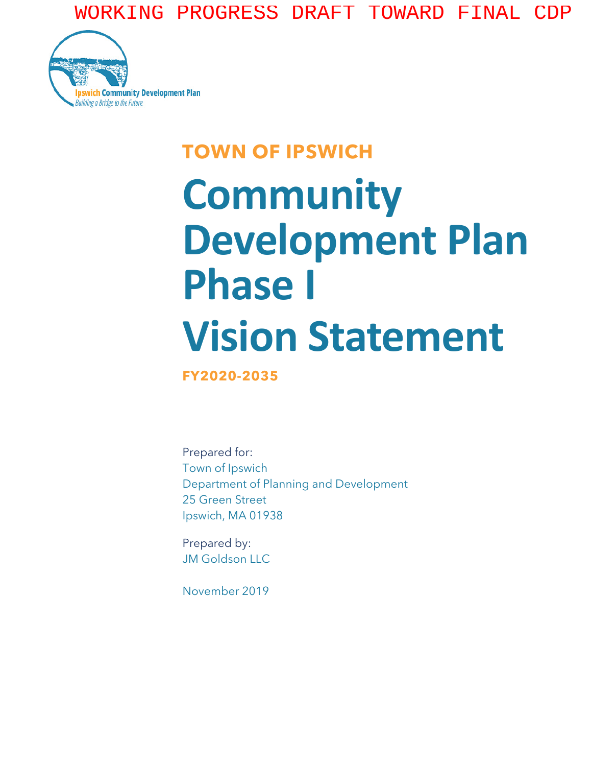WORKING PROGRESS DRAFT TOWARD FINAL CDP



## **TOWN OF IPSWICH**

## **Community Development Plan Phase I Vision Statement**

**FY2020-2035**

Prepared for: Town of Ipswich Department of Planning and Development 25 Green Street Ipswich, MA 01938

Prepared by: JM Goldson LLC

November 2019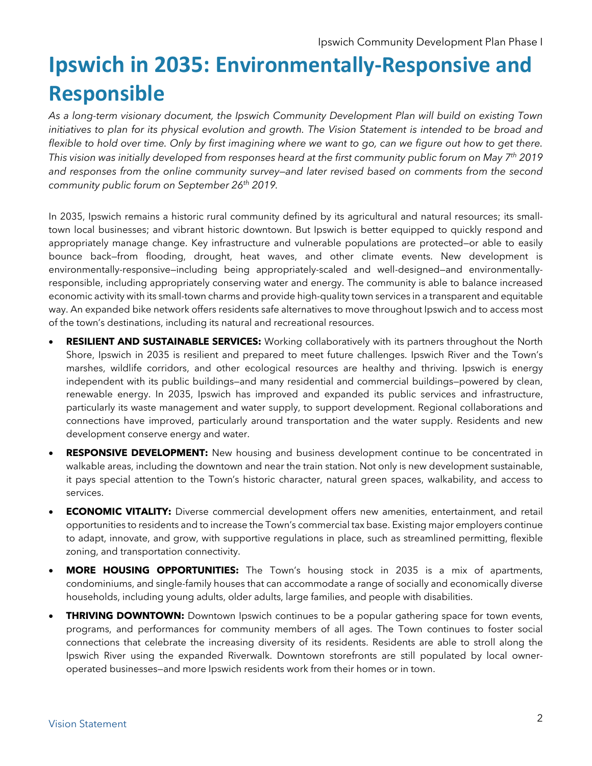## **Ipswich in 2035: Environmentally-Responsive and Responsible**

*As a long-term visionary document, the Ipswich Community Development Plan will build on existing Town initiatives to plan for its physical evolution and growth. The Vision Statement is intended to be broad and*  flexible to hold over time. Only by first imagining where we want to go, can we figure out how to get there. *This vision was initially developed from responses heard at the first community public forum on May 7th 2019 and responses from the online community survey—and later revised based on comments from the second community public forum on September 26th 2019.*

In 2035, Ipswich remains a historic rural community defined by its agricultural and natural resources; its smalltown local businesses; and vibrant historic downtown. But Ipswich is better equipped to quickly respond and appropriately manage change. Key infrastructure and vulnerable populations are protected—or able to easily bounce back—from flooding, drought, heat waves, and other climate events. New development is environmentally-responsive—including being appropriately-scaled and well-designed—and environmentallyresponsible, including appropriately conserving water and energy. The community is able to balance increased economic activity with its small-town charms and provide high-quality town services in a transparent and equitable way. An expanded bike network offers residents safe alternatives to move throughout Ipswich and to access most of the town's destinations, including its natural and recreational resources.

- **RESILIENT AND SUSTAINABLE SERVICES:** Working collaboratively with its partners throughout the North Shore, Ipswich in 2035 is resilient and prepared to meet future challenges. Ipswich River and the Town's marshes, wildlife corridors, and other ecological resources are healthy and thriving. Ipswich is energy independent with its public buildings—and many residential and commercial buildings—powered by clean, renewable energy. In 2035, Ipswich has improved and expanded its public services and infrastructure, particularly its waste management and water supply, to support development. Regional collaborations and connections have improved, particularly around transportation and the water supply. Residents and new development conserve energy and water.
- **RESPONSIVE DEVELOPMENT:** New housing and business development continue to be concentrated in walkable areas, including the downtown and near the train station. Not only is new development sustainable, it pays special attention to the Town's historic character, natural green spaces, walkability, and access to services.
- **ECONOMIC VITALITY:** Diverse commercial development offers new amenities, entertainment, and retail opportunities to residents and to increase the Town's commercial tax base. Existing major employers continue to adapt, innovate, and grow, with supportive regulations in place, such as streamlined permitting, flexible zoning, and transportation connectivity.
- **MORE HOUSING OPPORTUNITIES:** The Town's housing stock in 2035 is a mix of apartments, condominiums, and single-family houses that can accommodate a range of socially and economically diverse households, including young adults, older adults, large families, and people with disabilities.
- **THRIVING DOWNTOWN:** Downtown Ipswich continues to be a popular gathering space for town events, programs, and performances for community members of all ages. The Town continues to foster social connections that celebrate the increasing diversity of its residents. Residents are able to stroll along the Ipswich River using the expanded Riverwalk. Downtown storefronts are still populated by local owneroperated businesses—and more Ipswich residents work from their homes or in town.